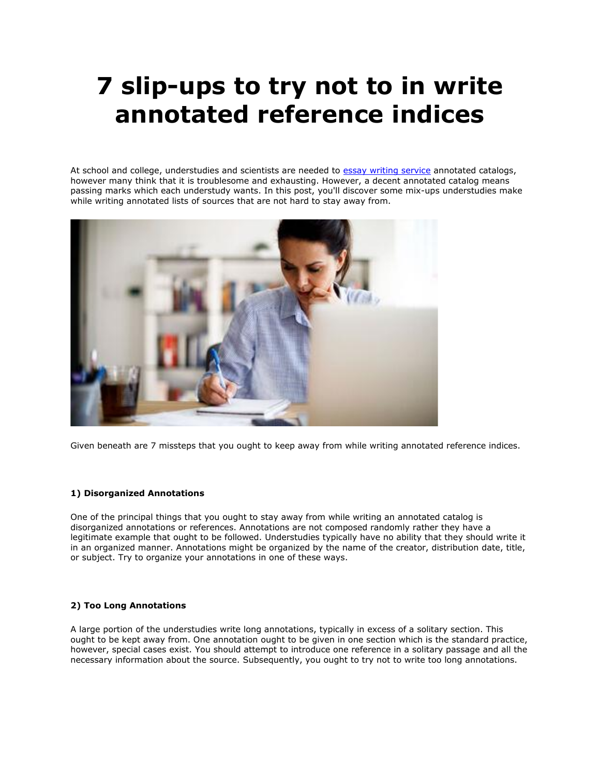# **7 slip-ups to try not to in write annotated reference indices**

At school and college, understudies and scientists are needed to [essay writing service](https://www.sharkpapers.com/) annotated catalogs, however many think that it is troublesome and exhausting. However, a decent annotated catalog means passing marks which each understudy wants. In this post, you'll discover some mix-ups understudies make while writing annotated lists of sources that are not hard to stay away from.



Given beneath are 7 missteps that you ought to keep away from while writing annotated reference indices.

# **1) Disorganized Annotations**

One of the principal things that you ought to stay away from while writing an annotated catalog is disorganized annotations or references. Annotations are not composed randomly rather they have a legitimate example that ought to be followed. Understudies typically have no ability that they should write it in an organized manner. Annotations might be organized by the name of the creator, distribution date, title, or subject. Try to organize your annotations in one of these ways.

## **2) Too Long Annotations**

A large portion of the understudies write long annotations, typically in excess of a solitary section. This ought to be kept away from. One annotation ought to be given in one section which is the standard practice, however, special cases exist. You should attempt to introduce one reference in a solitary passage and all the necessary information about the source. Subsequently, you ought to try not to write too long annotations.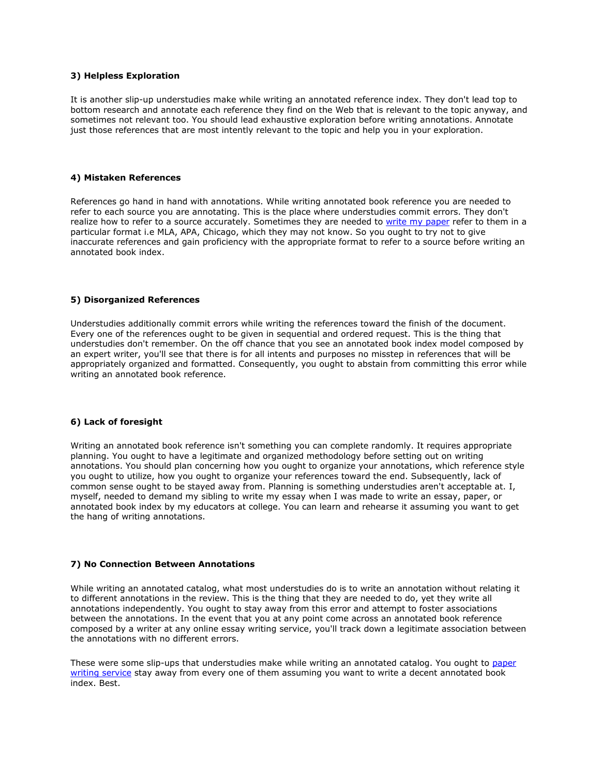### **3) Helpless Exploration**

It is another slip-up understudies make while writing an annotated reference index. They don't lead top to bottom research and annotate each reference they find on the Web that is relevant to the topic anyway, and sometimes not relevant too. You should lead exhaustive exploration before writing annotations. Annotate just those references that are most intently relevant to the topic and help you in your exploration.

#### **4) Mistaken References**

References go hand in hand with annotations. While writing annotated book reference you are needed to refer to each source you are annotating. This is the place where understudies commit errors. They don't realize how to refer to a source accurately. Sometimes they are needed to [write my paper](https://www.sharkpapers.com/write-my-paper/is-it-possible-for-someone-to-write-my-paper-for-me) refer to them in a particular format i.e MLA, APA, Chicago, which they may not know. So you ought to try not to give inaccurate references and gain proficiency with the appropriate format to refer to a source before writing an annotated book index.

#### **5) Disorganized References**

Understudies additionally commit errors while writing the references toward the finish of the document. Every one of the references ought to be given in sequential and ordered request. This is the thing that understudies don't remember. On the off chance that you see an annotated book index model composed by an expert writer, you'll see that there is for all intents and purposes no misstep in references that will be appropriately organized and formatted. Consequently, you ought to abstain from committing this error while writing an annotated book reference.

#### **6) Lack of foresight**

Writing an annotated book reference isn't something you can complete randomly. It requires appropriate planning. You ought to have a legitimate and organized methodology before setting out on writing annotations. You should plan concerning how you ought to organize your annotations, which reference style you ought to utilize, how you ought to organize your references toward the end. Subsequently, lack of common sense ought to be stayed away from. Planning is something understudies aren't acceptable at. I, myself, needed to demand my sibling to write my essay when I was made to write an essay, paper, or annotated book index by my educators at college. You can learn and rehearse it assuming you want to get the hang of writing annotations.

#### **7) No Connection Between Annotations**

While writing an annotated catalog, what most understudies do is to write an annotation without relating it to different annotations in the review. This is the thing that they are needed to do, yet they write all annotations independently. You ought to stay away from this error and attempt to foster associations between the annotations. In the event that you at any point come across an annotated book reference composed by a writer at any online essay writing service, you'll track down a legitimate association between the annotations with no different errors.

These were some slip-ups that understudies make while writing an annotated catalog. You ought to [paper](https://www.sharkpapers.com/)  [writing service](https://www.sharkpapers.com/) stay away from every one of them assuming you want to write a decent annotated book index. Best.